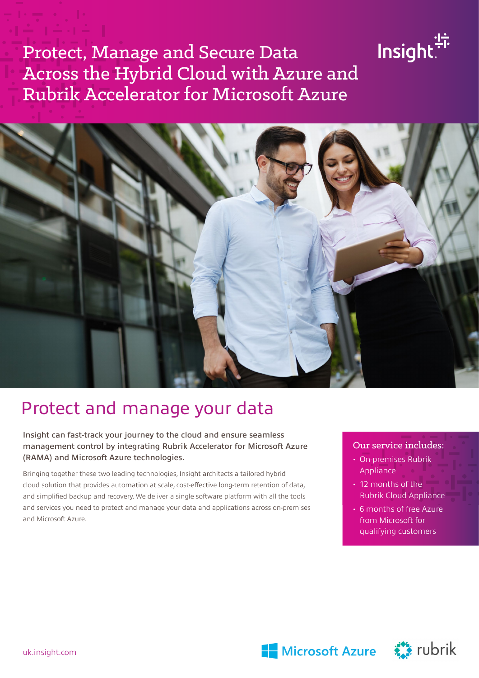# Protect, Manage and Secure Data Across the Hybrid Cloud with Azure and Rubrik Accelerator for Microsoft Azure



## Protect and manage your data

Insight can fast-track your journey to the cloud and ensure seamless management control by integrating Rubrik Accelerator for Microsoft Azure (RAMA) and Microsoft Azure technologies.

Bringing together these two leading technologies, Insight architects a tailored hybrid cloud solution that provides automation at scale, cost-effective long-term retention of data, and simplified backup and recovery. We deliver a single software platform with all the tools and services you need to protect and manage your data and applications across on-premises and Microsoft Azure.

#### Our service includes:

lnsight.<sup>47</sup>

- $\cdot$  On-premises Rubrik Appliance or state
- $\cdot$  12 months of the Rubrik Cloud Appliance
- 6 months of free Azure from Microsoft for qualifying customers



Microsoft Azure **Allen State** rubrik